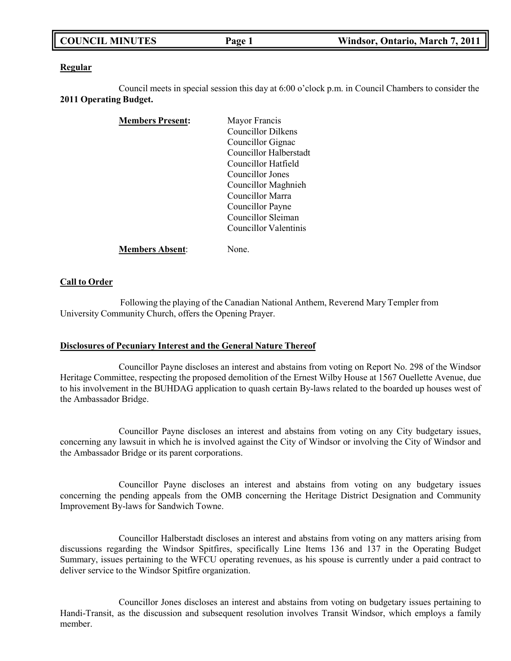#### **Regular**

Council meets in special session this day at 6:00 o'clock p.m. in Council Chambers to consider the **2011 Operating Budget.**

| <b>Members Present:</b> | Mayor Francis          |
|-------------------------|------------------------|
|                         | Councillor Dilkens     |
|                         | Councillor Gignac      |
|                         | Councillor Halberstadt |
|                         | Councillor Hatfield    |
|                         | Councillor Jones       |
|                         | Councillor Maghnieh    |
|                         | Councillor Marra       |
|                         | Councillor Payne       |
|                         | Councillor Sleiman     |
|                         | Councillor Valentinis  |
| <b>Members Absent:</b>  | Jone.                  |

#### **Call to Order**

Following the playing of the Canadian National Anthem, Reverend Mary Templer from University Community Church, offers the Opening Prayer.

#### **Disclosures of Pecuniary Interest and the General Nature Thereof**

Councillor Payne discloses an interest and abstains from voting on Report No. 298 of the Windsor Heritage Committee, respecting the proposed demolition of the Ernest Wilby House at 1567 Ouellette Avenue, due to his involvement in the BUHDAG application to quash certain By-laws related to the boarded up houses west of the Ambassador Bridge.

Councillor Payne discloses an interest and abstains from voting on any City budgetary issues, concerning any lawsuit in which he is involved against the City of Windsor or involving the City of Windsor and the Ambassador Bridge or its parent corporations.

Councillor Payne discloses an interest and abstains from voting on any budgetary issues concerning the pending appeals from the OMB concerning the Heritage District Designation and Community Improvement By-laws for Sandwich Towne.

Councillor Halberstadt discloses an interest and abstains from voting on any matters arising from discussions regarding the Windsor Spitfires, specifically Line Items 136 and 137 in the Operating Budget Summary, issues pertaining to the WFCU operating revenues, as his spouse is currently under a paid contract to deliver service to the Windsor Spitfire organization.

Councillor Jones discloses an interest and abstains from voting on budgetary issues pertaining to Handi-Transit, as the discussion and subsequent resolution involves Transit Windsor, which employs a family member.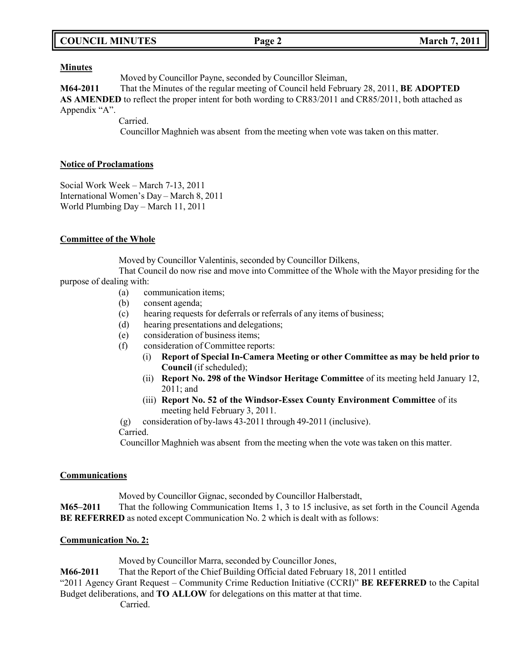| <b>COUNCIL MINUTES</b><br>Page 2 | <b>March 7, 2011</b> |
|----------------------------------|----------------------|
|----------------------------------|----------------------|

#### **Minutes**

Moved by Councillor Payne, seconded by Councillor Sleiman,

**M64-2011** That the Minutes of the regular meeting of Council held February 28, 2011, **BE ADOPTED AS AMENDED** to reflect the proper intent for both wording to CR83/2011 and CR85/2011, both attached as Appendix "A".

Carried.

Councillor Maghnieh was absent from the meeting when vote was taken on this matter.

#### **Notice of Proclamations**

Social Work Week – March 7-13, 2011 International Women's Day – March 8, 2011 World Plumbing Day – March 11, 2011

#### **Committee of the Whole**

Moved by Councillor Valentinis, seconded by Councillor Dilkens,

That Council do now rise and move into Committee of the Whole with the Mayor presiding for the purpose of dealing with:

- (a) communication items;
- (b) consent agenda;
- (c) hearing requests for deferrals or referrals of any items of business;
- (d) hearing presentations and delegations;
- (e) consideration of business items;
- (f) consideration of Committee reports:
	- (i) **Report of Special In-Camera Meeting or other Committee as may be held prior to Council** (if scheduled);
	- (ii) **Report No. 298 of the Windsor Heritage Committee** of its meeting held January 12, 2011; and
	- (iii) **Report No. 52 of the Windsor-Essex County Environment Committee** of its meeting held February 3, 2011.
- (g) consideration of by-laws 43-2011 through 49-2011 (inclusive). Carried.

Councillor Maghnieh was absent from the meeting when the vote was taken on this matter.

#### **Communications**

Moved by Councillor Gignac, seconded by Councillor Halberstadt,

**M65–2011** That the following Communication Items 1, 3 to 15 inclusive, as set forth in the Council Agenda **BE REFERRED** as noted except Communication No. 2 which is dealt with as follows:

#### **Communication No. 2:**

Moved by Councillor Marra, seconded by Councillor Jones,

**M66-2011** That the Report of the Chief Building Official dated February 18, 2011 entitled

"2011 Agency Grant Request – Community Crime Reduction Initiative (CCRI)" **BE REFERRED** to the Capital Budget deliberations, and **TO ALLOW** for delegations on this matter at that time.

Carried.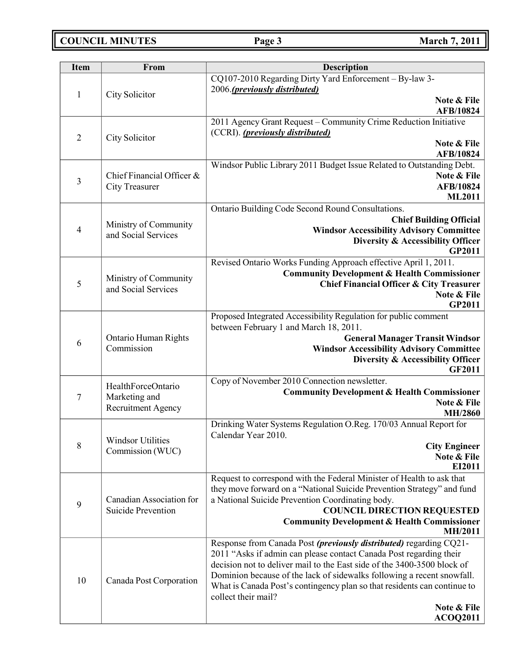**COUNCIL MINUTES Page 3 March 7, 2011**

| <b>Item</b>    | From                                         | <b>Description</b>                                                                                                                            |
|----------------|----------------------------------------------|-----------------------------------------------------------------------------------------------------------------------------------------------|
| $\mathbf{1}$   | City Solicitor                               | CQ107-2010 Regarding Dirty Yard Enforcement - By-law 3-<br>2006.(previously distributed)                                                      |
|                |                                              | Note & File<br>AFB/10824                                                                                                                      |
|                |                                              | 2011 Agency Grant Request - Community Crime Reduction Initiative                                                                              |
| $\overline{2}$ | City Solicitor                               | (CCRI). (previously distributed)                                                                                                              |
|                |                                              | Note & File<br>AFB/10824                                                                                                                      |
|                |                                              | Windsor Public Library 2011 Budget Issue Related to Outstanding Debt.                                                                         |
| 3              | Chief Financial Officer &                    | Note & File                                                                                                                                   |
|                | <b>City Treasurer</b>                        | AFB/10824<br><b>ML2011</b>                                                                                                                    |
|                |                                              | Ontario Building Code Second Round Consultations.                                                                                             |
|                |                                              | <b>Chief Building Official</b>                                                                                                                |
| 4              | Ministry of Community<br>and Social Services | <b>Windsor Accessibility Advisory Committee</b>                                                                                               |
|                |                                              | <b>Diversity &amp; Accessibility Officer</b><br>GP2011                                                                                        |
|                |                                              | Revised Ontario Works Funding Approach effective April 1, 2011.                                                                               |
|                | Ministry of Community                        | <b>Community Development &amp; Health Commissioner</b>                                                                                        |
| 5              | and Social Services                          | <b>Chief Financial Officer &amp; City Treasurer</b>                                                                                           |
|                |                                              | Note & File<br>GP2011                                                                                                                         |
|                |                                              | Proposed Integrated Accessibility Regulation for public comment                                                                               |
|                |                                              | between February 1 and March 18, 2011.                                                                                                        |
| 6              | <b>Ontario Human Rights</b>                  | <b>General Manager Transit Windsor</b>                                                                                                        |
|                | Commission                                   | <b>Windsor Accessibility Advisory Committee</b><br>Diversity & Accessibility Officer                                                          |
|                |                                              | <b>GF2011</b>                                                                                                                                 |
|                | HealthForceOntario                           | Copy of November 2010 Connection newsletter.                                                                                                  |
| 7              | Marketing and                                | <b>Community Development &amp; Health Commissioner</b>                                                                                        |
|                | Recruitment Agency                           | Note & File<br>MH/2860                                                                                                                        |
|                |                                              | Drinking Water Systems Regulation O.Reg. 170/03 Annual Report for                                                                             |
|                | <b>Windsor Utilities</b>                     | Calendar Year 2010.                                                                                                                           |
| 8              | Commission (WUC)                             | <b>City Engineer</b>                                                                                                                          |
|                |                                              | Note & File<br>EI2011                                                                                                                         |
|                |                                              | Request to correspond with the Federal Minister of Health to ask that                                                                         |
|                |                                              | they move forward on a "National Suicide Prevention Strategy" and fund                                                                        |
| 9              | Canadian Association for                     | a National Suicide Prevention Coordinating body.                                                                                              |
|                | <b>Suicide Prevention</b>                    | <b>COUNCIL DIRECTION REQUESTED</b><br><b>Community Development &amp; Health Commissioner</b>                                                  |
|                |                                              | <b>MH/2011</b>                                                                                                                                |
|                |                                              | Response from Canada Post (previously distributed) regarding CQ21-                                                                            |
| 10             | Canada Post Corporation                      | 2011 "Asks if admin can please contact Canada Post regarding their<br>decision not to deliver mail to the East side of the 3400-3500 block of |
|                |                                              | Dominion because of the lack of sidewalks following a recent snowfall.                                                                        |
|                |                                              | What is Canada Post's contingency plan so that residents can continue to                                                                      |
|                |                                              | collect their mail?                                                                                                                           |
|                |                                              | Note & File                                                                                                                                   |
|                |                                              | <b>ACOQ2011</b>                                                                                                                               |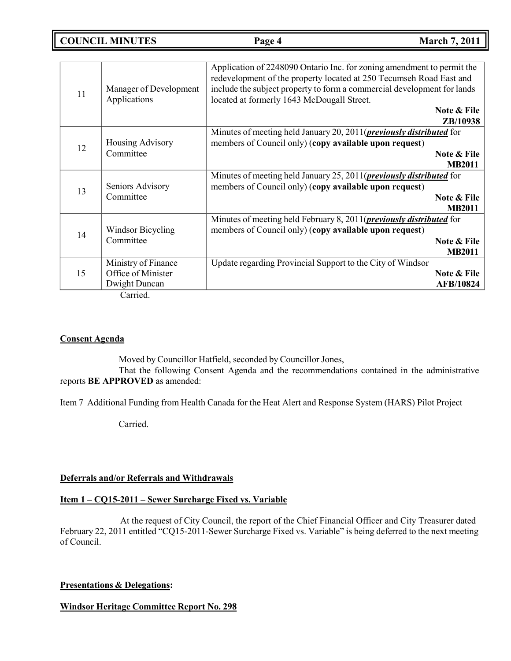**COUNCIL MINUTES Page 4 March 7, 2011**

|    | Manager of Development         | Application of 2248090 Ontario Inc. for zoning amendment to permit the<br>redevelopment of the property located at 250 Tecumseh Road East and<br>include the subject property to form a commercial development for lands |                  |
|----|--------------------------------|--------------------------------------------------------------------------------------------------------------------------------------------------------------------------------------------------------------------------|------------------|
| 11 |                                |                                                                                                                                                                                                                          |                  |
|    | Applications                   | located at formerly 1643 McDougall Street.                                                                                                                                                                               |                  |
|    |                                |                                                                                                                                                                                                                          | Note & File      |
|    |                                |                                                                                                                                                                                                                          | ZB/10938         |
|    |                                | Minutes of meeting held January 20, 2011( <i>previously distributed</i> for                                                                                                                                              |                  |
| 12 | Housing Advisory               | members of Council only) (copy available upon request)                                                                                                                                                                   |                  |
|    | Committee                      |                                                                                                                                                                                                                          | Note & File      |
|    |                                |                                                                                                                                                                                                                          | <b>MB2011</b>    |
|    |                                | Minutes of meeting held January 25, 2011( <i>previously distributed</i> for                                                                                                                                              |                  |
| 13 | Seniors Advisory               | members of Council only) (copy available upon request)                                                                                                                                                                   |                  |
|    | Committee                      |                                                                                                                                                                                                                          | Note & File      |
|    |                                |                                                                                                                                                                                                                          | <b>MB2011</b>    |
|    |                                | Minutes of meeting held February 8, 2011( <i>previously distributed</i> for                                                                                                                                              |                  |
| 14 | Windsor Bicycling<br>Committee | members of Council only) (copy available upon request)                                                                                                                                                                   |                  |
|    |                                |                                                                                                                                                                                                                          | Note & File      |
|    |                                |                                                                                                                                                                                                                          | <b>MB2011</b>    |
|    | Ministry of Finance            | Update regarding Provincial Support to the City of Windsor                                                                                                                                                               |                  |
| 15 | Office of Minister             |                                                                                                                                                                                                                          | Note & File      |
|    | Dwight Duncan                  |                                                                                                                                                                                                                          | <b>AFB/10824</b> |
|    | $C2$ and $\sim 1$              |                                                                                                                                                                                                                          |                  |

Carried.

### **Consent Agenda**

Moved by Councillor Hatfield, seconded by Councillor Jones,

That the following Consent Agenda and the recommendations contained in the administrative reports **BE APPROVED** as amended:

Item 7 Additional Funding from Health Canada for the Heat Alert and Response System (HARS) Pilot Project

Carried.

#### **Deferrals and/or Referrals and Withdrawals**

### **Item 1 – CQ15-2011 – Sewer Surcharge Fixed vs. Variable**

At the request of City Council, the report of the Chief Financial Officer and City Treasurer dated February 22, 2011 entitled "CQ15-2011-Sewer Surcharge Fixed vs. Variable" is being deferred to the next meeting of Council.

### **Presentations & Delegations:**

**Windsor Heritage Committee Report No. 298**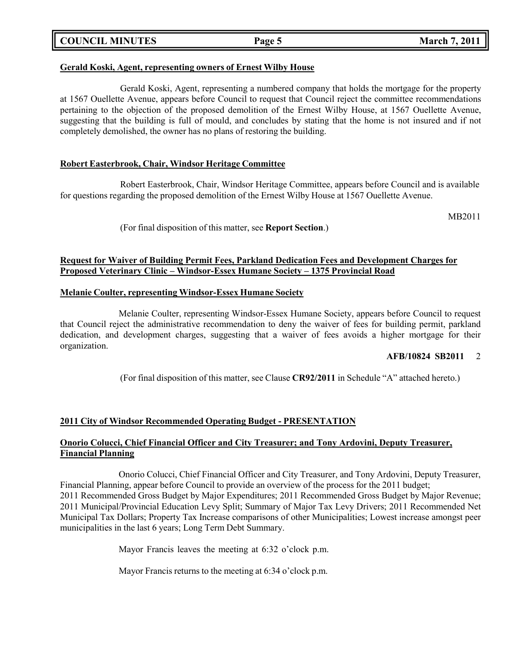### **COUNCIL MINUTES Page 5 March 7, 2011**

#### **Gerald Koski, Agent, representing owners of Ernest Wilby House**

Gerald Koski, Agent, representing a numbered company that holds the mortgage for the property at 1567 Ouellette Avenue, appears before Council to request that Council reject the committee recommendations pertaining to the objection of the proposed demolition of the Ernest Wilby House, at 1567 Ouellette Avenue, suggesting that the building is full of mould, and concludes by stating that the home is not insured and if not completely demolished, the owner has no plans of restoring the building.

#### **Robert Easterbrook, Chair, Windsor Heritage Committee**

Robert Easterbrook, Chair, Windsor Heritage Committee, appears before Council and is available for questions regarding the proposed demolition of the Ernest Wilby House at 1567 Ouellette Avenue.

MB2011

(For final disposition of this matter, see **Report Section**.)

#### **Request for Waiver of Building Permit Fees, Parkland Dedication Fees and Development Charges for Proposed Veterinary Clinic – Windsor-Essex Humane Society – 1375 Provincial Road**

#### **Melanie Coulter, representing Windsor-Essex Humane Society**

Melanie Coulter, representing Windsor-Essex Humane Society, appears before Council to request that Council reject the administrative recommendation to deny the waiver of fees for building permit, parkland dedication, and development charges, suggesting that a waiver of fees avoids a higher mortgage for their organization.

#### **AFB/10824 SB2011** 2

(For final disposition of this matter, see Clause **CR92/2011** in Schedule "A" attached hereto.)

#### **2011 City of Windsor Recommended Operating Budget - PRESENTATION**

#### **Onorio Colucci, Chief Financial Officer and City Treasurer; and Tony Ardovini, Deputy Treasurer, Financial Planning**

Onorio Colucci, Chief Financial Officer and City Treasurer, and Tony Ardovini, Deputy Treasurer, Financial Planning, appear before Council to provide an overview of the process for the 2011 budget; 2011 Recommended Gross Budget by Major Expenditures; 2011 Recommended Gross Budget by Major Revenue; 2011 Municipal/Provincial Education Levy Split; Summary of Major Tax Levy Drivers; 2011 Recommended Net Municipal Tax Dollars; Property Tax Increase comparisons of other Municipalities; Lowest increase amongst peer municipalities in the last 6 years; Long Term Debt Summary.

Mayor Francis leaves the meeting at 6:32 o'clock p.m.

Mayor Francis returns to the meeting at 6:34 o'clock p.m.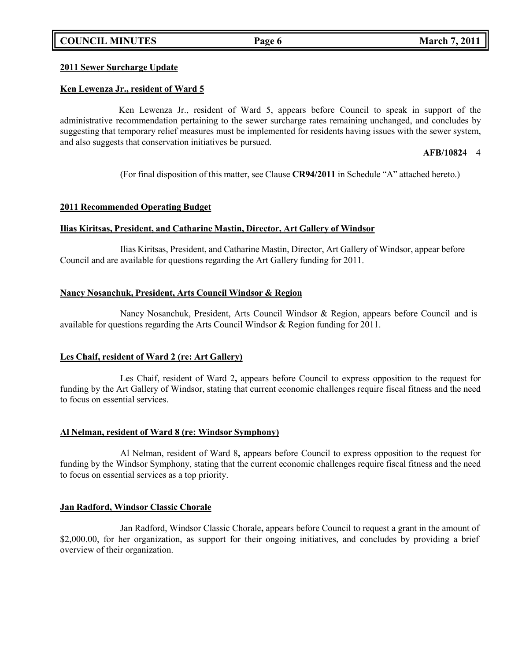### **COUNCIL MINUTES Page 6 March 7, 2011**

### **2011 Sewer Surcharge Update**

### **Ken Lewenza Jr., resident of Ward 5**

Ken Lewenza Jr., resident of Ward 5, appears before Council to speak in support of the administrative recommendation pertaining to the sewer surcharge rates remaining unchanged, and concludes by suggesting that temporary relief measures must be implemented for residents having issues with the sewer system, and also suggests that conservation initiatives be pursued.

#### **AFB/10824** 4

(For final disposition of this matter, see Clause **CR94/2011** in Schedule "A" attached hereto.)

#### **2011 Recommended Operating Budget**

#### **Ilias Kiritsas, President, and Catharine Mastin, Director, Art Gallery of Windsor**

Ilias Kiritsas, President, and Catharine Mastin, Director, Art Gallery of Windsor, appear before Council and are available for questions regarding the Art Gallery funding for 2011.

#### **Nancy Nosanchuk, President, Arts Council Windsor & Region**

Nancy Nosanchuk, President, Arts Council Windsor & Region, appears before Council and is available for questions regarding the Arts Council Windsor & Region funding for 2011.

#### **Les Chaif, resident of Ward 2 (re: Art Gallery)**

Les Chaif, resident of Ward 2**,** appears before Council to express opposition to the request for funding by the Art Gallery of Windsor, stating that current economic challenges require fiscal fitness and the need to focus on essential services.

#### **Al Nelman, resident of Ward 8 (re: Windsor Symphony)**

Al Nelman, resident of Ward 8**,** appears before Council to express opposition to the request for funding by the Windsor Symphony, stating that the current economic challenges require fiscal fitness and the need to focus on essential services as a top priority.

#### **Jan Radford, Windsor Classic Chorale**

Jan Radford, Windsor Classic Chorale**,** appears before Council to request a grant in the amount of \$2,000.00, for her organization, as support for their ongoing initiatives, and concludes by providing a brief overview of their organization.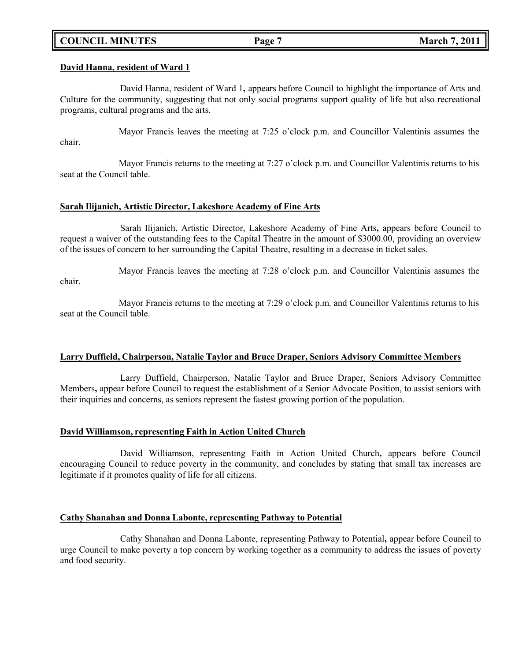### **COUNCIL MINUTES Page 7 March 7, 2011**

#### **David Hanna, resident of Ward 1**

David Hanna, resident of Ward 1**,** appears before Council to highlight the importance of Arts and Culture for the community, suggesting that not only social programs support quality of life but also recreational programs, cultural programs and the arts.

Mayor Francis leaves the meeting at 7:25 o'clock p.m. and Councillor Valentinis assumes the chair.

Mayor Francis returns to the meeting at 7:27 o'clock p.m. and Councillor Valentinis returns to his seat at the Council table.

#### **Sarah Ilijanich, Artistic Director, Lakeshore Academy of Fine Arts**

Sarah Ilijanich, Artistic Director, Lakeshore Academy of Fine Arts**,** appears before Council to request a waiver of the outstanding fees to the Capital Theatre in the amount of \$3000.00, providing an overview of the issues of concern to her surrounding the Capital Theatre, resulting in a decrease in ticket sales.

Mayor Francis leaves the meeting at 7:28 o'clock p.m. and Councillor Valentinis assumes the chair.

Mayor Francis returns to the meeting at 7:29 o'clock p.m. and Councillor Valentinis returns to his seat at the Council table.

#### **Larry Duffield, Chairperson, Natalie Taylor and Bruce Draper, Seniors Advisory Committee Members**

Larry Duffield, Chairperson, Natalie Taylor and Bruce Draper, Seniors Advisory Committee Members**,** appear before Council to request the establishment of a Senior Advocate Position, to assist seniors with their inquiries and concerns, as seniors represent the fastest growing portion of the population.

#### **David Williamson, representing Faith in Action United Church**

David Williamson, representing Faith in Action United Church**,** appears before Council encouraging Council to reduce poverty in the community, and concludes by stating that small tax increases are legitimate if it promotes quality of life for all citizens.

#### **Cathy Shanahan and Donna Labonte, representing Pathway to Potential**

Cathy Shanahan and Donna Labonte, representing Pathway to Potential**,** appear before Council to urge Council to make poverty a top concern by working together as a community to address the issues of poverty and food security.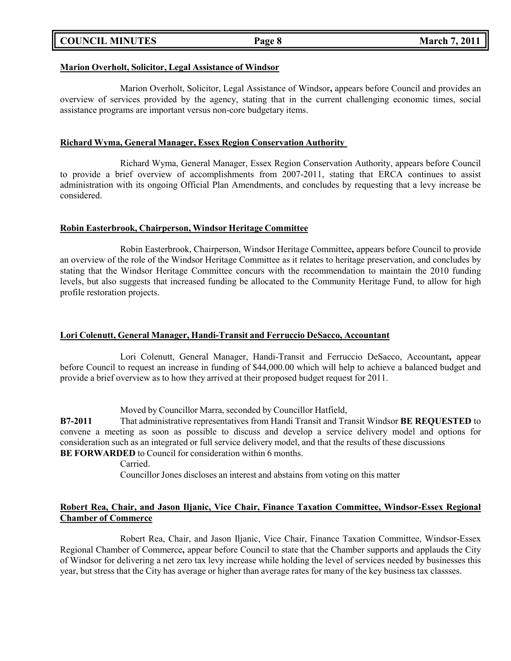| <b>COUNCIL MINUTES</b> |  |
|------------------------|--|
|------------------------|--|

#### **Marion Overholt, Solicitor, Legal Assistance of Windsor**

Marion Overholt, Solicitor, Legal Assistance of Windsor**,** appears before Council and provides an overview of services provided by the agency, stating that in the current challenging economic times, social assistance programs are important versus non-core budgetary items.

#### **Richard Wyma, General Manager, Essex Region Conservation Authority**

Richard Wyma, General Manager, Essex Region Conservation Authority, appears before Council to provide a brief overview of accomplishments from 2007-2011, stating that ERCA continues to assist administration with its ongoing Official Plan Amendments, and concludes by requesting that a levy increase be considered.

#### **Robin Easterbrook, Chairperson, Windsor Heritage Committee**

Robin Easterbrook, Chairperson, Windsor Heritage Committee**,** appears before Council to provide an overview of the role of the Windsor Heritage Committee as it relates to heritage preservation, and concludes by stating that the Windsor Heritage Committee concurs with the recommendation to maintain the 2010 funding levels, but also suggests that increased funding be allocated to the Community Heritage Fund, to allow for high profile restoration projects.

#### **Lori Colenutt, General Manager, Handi-Transit and Ferruccio DeSacco, Accountant**

Lori Colenutt, General Manager, Handi-Transit and Ferruccio DeSacco, Accountant**,** appear before Council to request an increase in funding of \$44,000.00 which will help to achieve a balanced budget and provide a brief overview as to how they arrived at their proposed budget request for 2011.

Moved by Councillor Marra, seconded by Councillor Hatfield,

**B7-2011** That administrative representatives from Handi Transit and Transit Windsor **BE REQUESTED** to convene a meeting as soon as possible to discuss and develop a service delivery model and options for consideration such as an integrated or full service delivery model, and that the results of these discussions **BE FORWARDED** to Council for consideration within 6 months.

Carried.

Councillor Jones discloses an interest and abstains from voting on this matter

### **Robert Rea, Chair, and Jason Iljanic, Vice Chair, Finance Taxation Committee, Windsor-Essex Regional Chamber of Commerce**

Robert Rea, Chair, and Jason Iljanic, Vice Chair, Finance Taxation Committee, Windsor-Essex Regional Chamber of Commerce**,** appear before Council to state that the Chamber supports and applauds the City of Windsor for delivering a net zero tax levy increase while holding the level of services needed by businesses this year, but stress that the City has average or higher than average rates for many of the key business tax classses.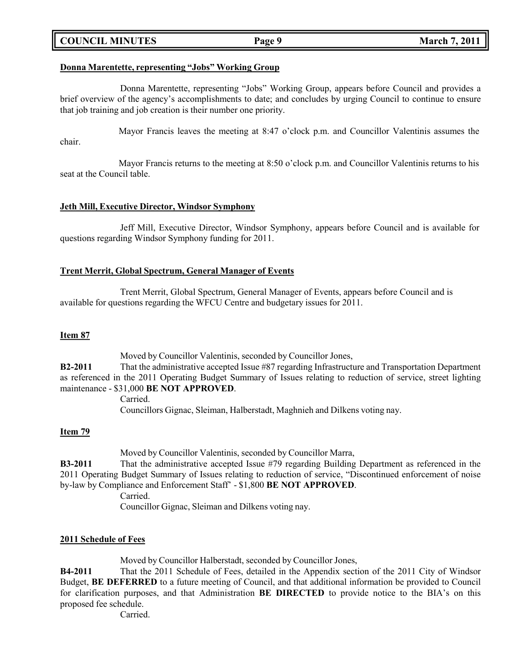### **COUNCIL MINUTES Page 9 March 7, 2011**

#### **Donna Marentette, representing "Jobs" Working Group**

Donna Marentette, representing "Jobs" Working Group, appears before Council and provides a brief overview of the agency's accomplishments to date; and concludes by urging Council to continue to ensure that job training and job creation is their number one priority.

Mayor Francis leaves the meeting at 8:47 o'clock p.m. and Councillor Valentinis assumes the chair.

Mayor Francis returns to the meeting at 8:50 o'clock p.m. and Councillor Valentinis returns to his seat at the Council table.

#### **Jeth Mill, Executive Director, Windsor Symphony**

Jeff Mill, Executive Director, Windsor Symphony, appears before Council and is available for questions regarding Windsor Symphony funding for 2011.

#### **Trent Merrit, Global Spectrum, General Manager of Events**

Trent Merrit, Global Spectrum, General Manager of Events, appears before Council and is available for questions regarding the WFCU Centre and budgetary issues for 2011.

#### **Item 87**

Moved by Councillor Valentinis, seconded by Councillor Jones,

**B2-2011** That the administrative accepted Issue #87 regarding Infrastructure and Transportation Department as referenced in the 2011 Operating Budget Summary of Issues relating to reduction of service, street lighting maintenance - \$31,000 **BE NOT APPROVED**.

> Carried. Councillors Gignac, Sleiman, Halberstadt, Maghnieh and Dilkens voting nay.

#### **Item 79**

Moved by Councillor Valentinis, seconded by Councillor Marra,

**B3-2011** That the administrative accepted Issue #79 regarding Building Department as referenced in the 2011 Operating Budget Summary of Issues relating to reduction of service, "Discontinued enforcement of noise by-law by Compliance and Enforcement Staff' - \$1,800 **BE NOT APPROVED**.

Carried.

Councillor Gignac, Sleiman and Dilkens voting nay.

#### **2011 Schedule of Fees**

Moved by Councillor Halberstadt, seconded by Councillor Jones,

**B4-2011** That the 2011 Schedule of Fees, detailed in the Appendix section of the 2011 City of Windsor Budget, **BE DEFERRED** to a future meeting of Council, and that additional information be provided to Council for clarification purposes, and that Administration **BE DIRECTED** to provide notice to the BIA's on this proposed fee schedule.

Carried.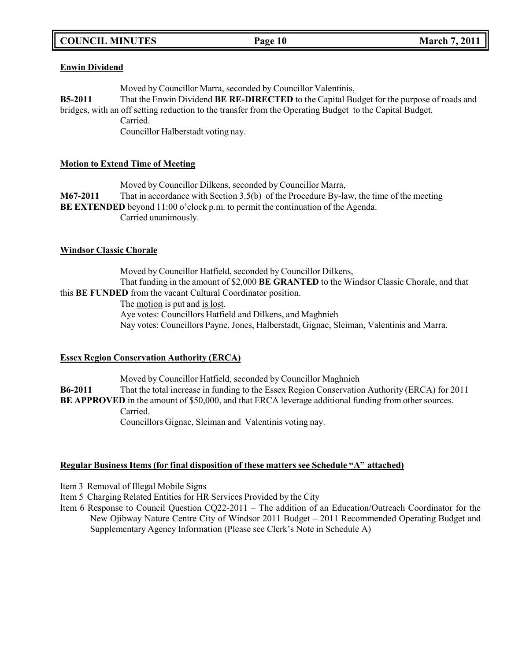# **COUNCIL MINUTES Page 10 March 7, 2011**

### **Enwin Dividend**

Moved by Councillor Marra, seconded by Councillor Valentinis,

**B5-2011** That the Enwin Dividend **BE RE-DIRECTED** to the Capital Budget for the purpose of roads and bridges, with an off setting reduction to the transfer from the Operating Budget to the Capital Budget. Carried.

Councillor Halberstadt voting nay.

### **Motion to Extend Time of Meeting**

Moved by Councillor Dilkens, seconded by Councillor Marra, **M67-2011** That in accordance with Section 3.5(b) of the Procedure By-law, the time of the meeting **BE EXTENDED** beyond 11:00 o'clock p.m. to permit the continuation of the Agenda. Carried unanimously.

### **Windsor Classic Chorale**

Moved by Councillor Hatfield, seconded by Councillor Dilkens, That funding in the amount of \$2,000 **BE GRANTED** to the Windsor Classic Chorale, and that this **BE FUNDED** from the vacant Cultural Coordinator position.

The motion is put and is lost.

Aye votes: Councillors Hatfield and Dilkens, and Maghnieh

Nay votes: Councillors Payne, Jones, Halberstadt, Gignac, Sleiman, Valentinis and Marra.

### **Essex Region Conservation Authority (ERCA)**

Moved by Councillor Hatfield, seconded by Councillor Maghnieh **B6-2011** That the total increase in funding to the Essex Region Conservation Authority (ERCA) for 2011 **BE APPROVED** in the amount of \$50,000, and that ERCA leverage additional funding from other sources. Carried. Councillors Gignac, Sleiman and Valentinis voting nay.

### **Regular Business Items (for final disposition of these matters see Schedule "A" attached)**

Item 3 Removal of Illegal Mobile Signs

Item 5 Charging Related Entities for HR Services Provided by the City

Item 6 Response to Council Question CQ22-2011 – The addition of an Education/Outreach Coordinator for the New Ojibway Nature Centre City of Windsor 2011 Budget – 2011 Recommended Operating Budget and Supplementary Agency Information (Please see Clerk's Note in Schedule A)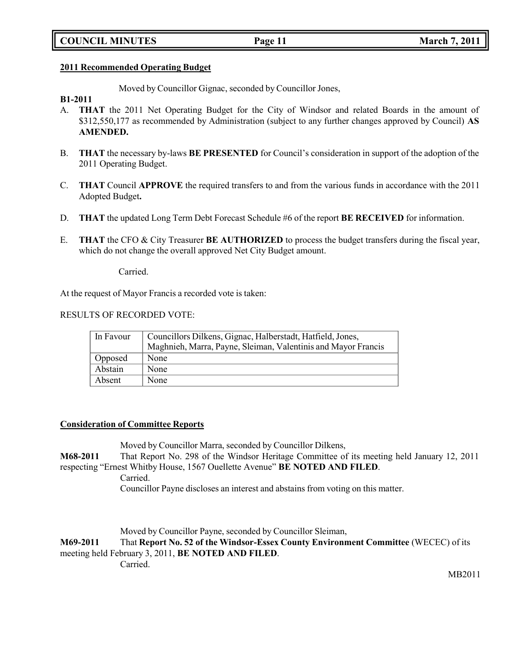#### **2011 Recommended Operating Budget**

Moved by Councillor Gignac, seconded by Councillor Jones,

#### **B1-2011**

- A. **THAT** the 2011 Net Operating Budget for the City of Windsor and related Boards in the amount of \$312,550,177 as recommended by Administration (subject to any further changes approved by Council) **AS AMENDED.**
- B. **THAT** the necessary by-laws **BE PRESENTED** for Council's consideration in support of the adoption of the 2011 Operating Budget.
- C. **THAT** Council **APPROVE** the required transfers to and from the various funds in accordance with the 2011 Adopted Budget**.**
- D. **THAT** the updated Long Term Debt Forecast Schedule #6 of the report **BE RECEIVED** for information.
- E. **THAT** the CFO & City Treasurer **BE AUTHORIZED** to process the budget transfers during the fiscal year, which do not change the overall approved Net City Budget amount.

Carried.

At the request of Mayor Francis a recorded vote is taken:

#### RESULTS OF RECORDED VOTE:

| In Favour | Councillors Dilkens, Gignac, Halberstadt, Hatfield, Jones,<br>Maghnieh, Marra, Payne, Sleiman, Valentinis and Mayor Francis |
|-----------|-----------------------------------------------------------------------------------------------------------------------------|
| Opposed   | None                                                                                                                        |
| Abstain   | None                                                                                                                        |
| Absent    | None                                                                                                                        |

#### **Consideration of Committee Reports**

Moved by Councillor Marra, seconded by Councillor Dilkens,

**M68-2011** That Report No. 298 of the Windsor Heritage Committee of its meeting held January 12, 2011 respecting "Ernest Whitby House, 1567 Ouellette Avenue" **BE NOTED AND FILED**.

Carried.

Councillor Payne discloses an interest and abstains from voting on this matter.

Moved by Councillor Payne, seconded by Councillor Sleiman,

#### **M69-2011** That **Report No. 52 of the Windsor-Essex County Environment Committee** (WECEC) of its meeting held February 3, 2011, **BE NOTED AND FILED**. Carried.

MB2011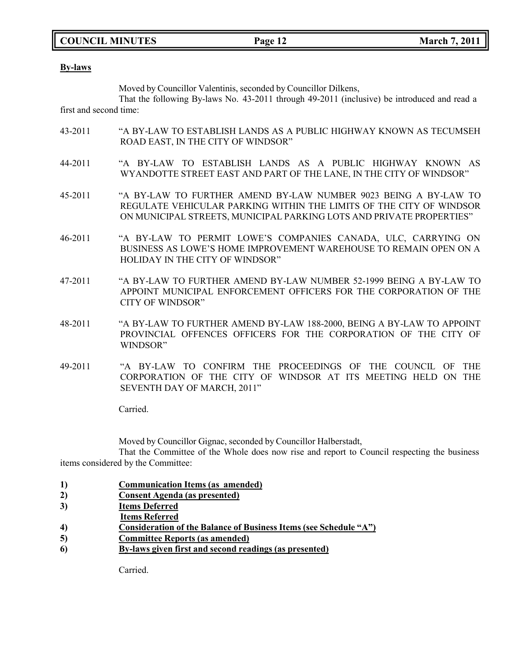### **COUNCIL MINUTES Page 12 March 7, 2011**

#### **By-laws**

Moved by Councillor Valentinis, seconded by Councillor Dilkens,

That the following By-laws No. 43-2011 through 49-2011 (inclusive) be introduced and read a first and second time:

- 43-2011 "A BY-LAW TO ESTABLISH LANDS AS A PUBLIC HIGHWAY KNOWN AS TECUMSEH ROAD EAST, IN THE CITY OF WINDSOR"
- 44-2011 "A BY-LAW TO ESTABLISH LANDS AS A PUBLIC HIGHWAY KNOWN AS WYANDOTTE STREET EAST AND PART OF THE LANE, IN THE CITY OF WINDSOR"
- 45-2011 "A BY-LAW TO FURTHER AMEND BY-LAW NUMBER 9023 BEING A BY-LAW TO REGULATE VEHICULAR PARKING WITHIN THE LIMITS OF THE CITY OF WINDSOR ON MUNICIPAL STREETS, MUNICIPAL PARKING LOTS AND PRIVATE PROPERTIES"
- 46-2011 "A BY-LAW TO PERMIT LOWE'S COMPANIES CANADA, ULC, CARRYING ON BUSINESS AS LOWE'S HOME IMPROVEMENT WAREHOUSE TO REMAIN OPEN ON A HOLIDAY IN THE CITY OF WINDSOR"
- 47-2011 "A BY-LAW TO FURTHER AMEND BY-LAW NUMBER 52-1999 BEING A BY-LAW TO APPOINT MUNICIPAL ENFORCEMENT OFFICERS FOR THE CORPORATION OF THE CITY OF WINDSOR"
- 48-2011 "A BY-LAW TO FURTHER AMEND BY-LAW 188-2000, BEING A BY-LAW TO APPOINT PROVINCIAL OFFENCES OFFICERS FOR THE CORPORATION OF THE CITY OF WINDSOR"
- 49-2011 "A BY-LAW TO CONFIRM THE PROCEEDINGS OF THE COUNCIL OF THE CORPORATION OF THE CITY OF WINDSOR AT ITS MEETING HELD ON THE SEVENTH DAY OF MARCH, 2011"

Carried.

Moved by Councillor Gignac, seconded by Councillor Halberstadt,

That the Committee of the Whole does now rise and report to Council respecting the business items considered by the Committee:

- **1) Communication Items (as amended)**
- **2) Consent Agenda (as presented)**
- **3) Items Deferred**
- **Items Referred**
- **4) Consideration of the Balance of Business Items (see Schedule "A")**
- **5) Committee Reports (as amended)**
- **6) By-laws given first and second readings (as presented)**

Carried.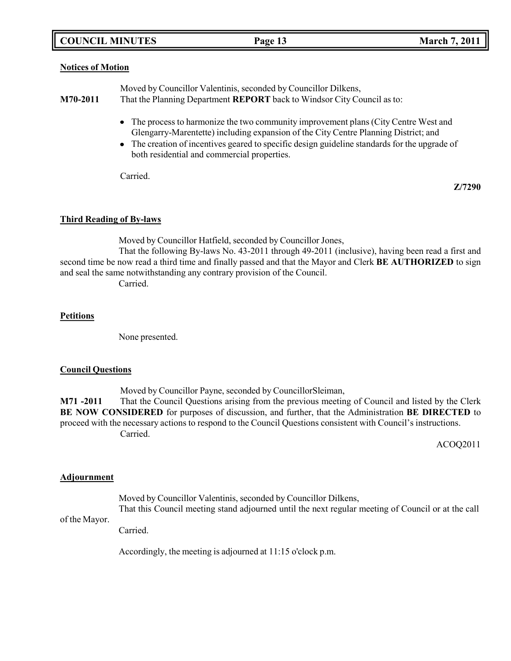### **COUNCIL MINUTES Page 13 March 7, 2011**

#### **Notices of Motion**

Moved by Councillor Valentinis, seconded by Councillor Dilkens, **M70-2011** That the Planning Department **REPORT** back to Windsor City Council as to:

- The process to harmonize the two community improvement plans (City Centre West and Glengarry-Marentette) including expansion of the City Centre Planning District; and
- The creation of incentives geared to specific design guideline standards for the upgrade of both residential and commercial properties.

Carried.

**Z/7290**

#### **Third Reading of By-laws**

Moved by Councillor Hatfield, seconded by Councillor Jones,

That the following By-laws No. 43-2011 through 49-2011 (inclusive), having been read a first and second time be now read a third time and finally passed and that the Mayor and Clerk **BE AUTHORIZED** to sign and seal the same notwithstanding any contrary provision of the Council.

Carried.

#### **Petitions**

None presented.

#### **Council Questions**

Moved by Councillor Payne, seconded by CouncillorSleiman,

**M71 -2011** That the Council Questions arising from the previous meeting of Council and listed by the Clerk **BE NOW CONSIDERED** for purposes of discussion, and further, that the Administration **BE DIRECTED** to proceed with the necessary actions to respond to the Council Questions consistent with Council's instructions. Carried.

ACOQ2011

#### **Adjournment**

of the Mayor.

Moved by Councillor Valentinis, seconded by Councillor Dilkens,

That this Council meeting stand adjourned until the next regular meeting of Council or at the call

Carried.

Accordingly, the meeting is adjourned at 11:15 o'clock p.m.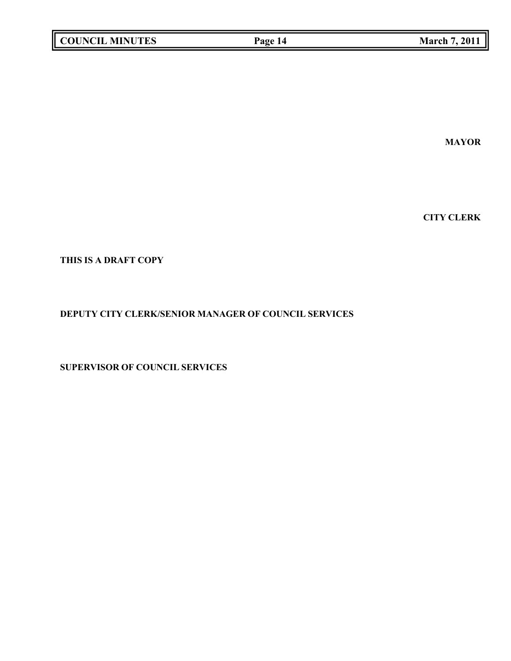| <b>COUNCIL MINUTES</b> |  |
|------------------------|--|
|------------------------|--|

**MAYOR**

**CITY CLERK**

**THIS IS A DRAFT COPY**

### **DEPUTY CITY CLERK/SENIOR MANAGER OF COUNCIL SERVICES**

**SUPERVISOR OF COUNCIL SERVICES**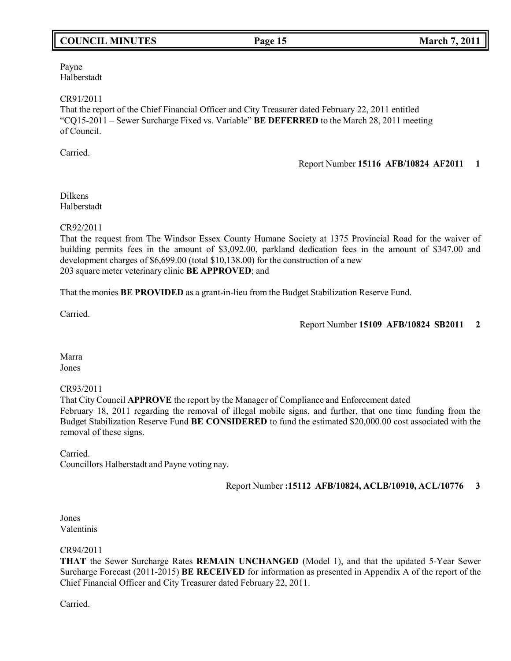# **COUNCIL MINUTES Page 15 March 7, 2011**

Payne Halberstadt

CR91/2011

That the report of the Chief Financial Officer and City Treasurer dated February 22, 2011 entitled "CQ15-2011 – Sewer Surcharge Fixed vs. Variable" **BE DEFERRED** to the March 28, 2011 meeting of Council.

Carried.

Report Number **15116 AFB/10824 AF2011 1**

Dilkens Halberstadt

CR92/2011

That the request from The Windsor Essex County Humane Society at 1375 Provincial Road for the waiver of building permits fees in the amount of \$3,092.00, parkland dedication fees in the amount of \$347.00 and development charges of \$6,699.00 (total \$10,138.00) for the construction of a new 203 square meter veterinary clinic **BE APPROVED**; and

That the monies **BE PROVIDED** as a grant-in-lieu from the Budget Stabilization Reserve Fund.

Carried.

Report Number **15109 AFB/10824 SB2011 2**

Marra Jones

CR93/2011

That City Council **APPROVE** the report by the Manager of Compliance and Enforcement dated February 18, 2011 regarding the removal of illegal mobile signs, and further, that one time funding from the Budget Stabilization Reserve Fund **BE CONSIDERED** to fund the estimated \$20,000.00 cost associated with the removal of these signs.

Carried.

Councillors Halberstadt and Payne voting nay.

Report Number **:15112 AFB/10824, ACLB/10910, ACL/10776 3**

Jones Valentinis

CR94/2011

**THAT** the Sewer Surcharge Rates **REMAIN UNCHANGED** (Model 1), and that the updated 5-Year Sewer Surcharge Forecast (2011-2015) **BE RECEIVED** for information as presented in Appendix A of the report of the Chief Financial Officer and City Treasurer dated February 22, 2011.

Carried.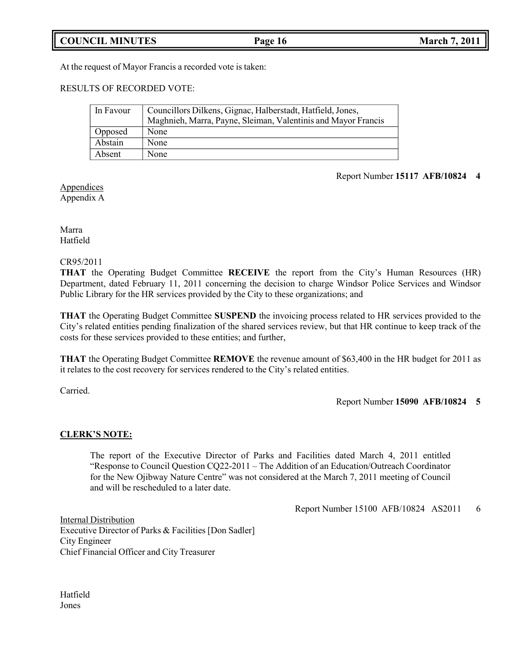**COUNCIL MINUTES Page 16 March 7, 2011**

At the request of Mayor Francis a recorded vote is taken:

RESULTS OF RECORDED VOTE:

| In Favour | Councillors Dilkens, Gignac, Halberstadt, Hatfield, Jones,    |
|-----------|---------------------------------------------------------------|
|           | Maghnieh, Marra, Payne, Sleiman, Valentinis and Mayor Francis |
| Opposed   | None                                                          |
| Abstain   | None                                                          |
| Absent    | None                                                          |

#### Report Number **15117 AFB/10824 4**

Appendices Appendix A

Marra Hatfield

#### CR95/2011

**THAT** the Operating Budget Committee **RECEIVE** the report from the City's Human Resources (HR) Department, dated February 11, 2011 concerning the decision to charge Windsor Police Services and Windsor Public Library for the HR services provided by the City to these organizations; and

**THAT** the Operating Budget Committee **SUSPEND** the invoicing process related to HR services provided to the City's related entities pending finalization of the shared services review, but that HR continue to keep track of the costs for these services provided to these entities; and further,

**THAT** the Operating Budget Committee **REMOVE** the revenue amount of \$63,400 in the HR budget for 2011 as it relates to the cost recovery for services rendered to the City's related entities.

Carried.

#### Report Number **15090 AFB/10824 5**

#### **CLERK'S NOTE:**

The report of the Executive Director of Parks and Facilities dated March 4, 2011 entitled "Response to Council Question CQ22-2011 – The Addition of an Education/Outreach Coordinator for the New Ojibway Nature Centre" was not considered at the March 7, 2011 meeting of Council and will be rescheduled to a later date.

Report Number 15100 AFB/10824 AS2011 6

Internal Distribution Executive Director of Parks & Facilities [Don Sadler] City Engineer Chief Financial Officer and City Treasurer

Hatfield Jones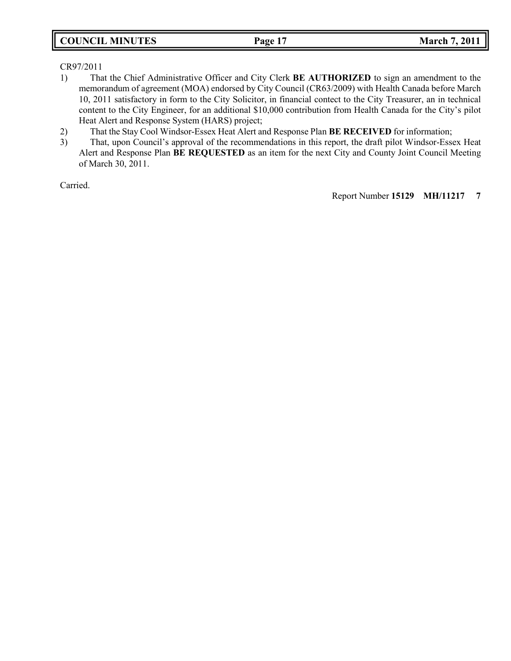## **COUNCIL MINUTES Page 17 March 7, 2011**

CR97/2011

- 1) That the Chief Administrative Officer and City Clerk **BE AUTHORIZED** to sign an amendment to the memorandum of agreement (MOA) endorsed by City Council (CR63/2009) with Health Canada before March 10, 2011 satisfactory in form to the City Solicitor, in financial contect to the City Treasurer, an in technical content to the City Engineer, for an additional \$10,000 contribution from Health Canada for the City's pilot Heat Alert and Response System (HARS) project;
- 2) That the Stay Cool Windsor-Essex Heat Alert and Response Plan **BE RECEIVED** for information;
- 3) That, upon Council's approval of the recommendations in this report, the draft pilot Windsor-Essex Heat Alert and Response Plan **BE REQUESTED** as an item for the next City and County Joint Council Meeting of March 30, 2011.

Carried.

Report Number **15129 MH/11217 7**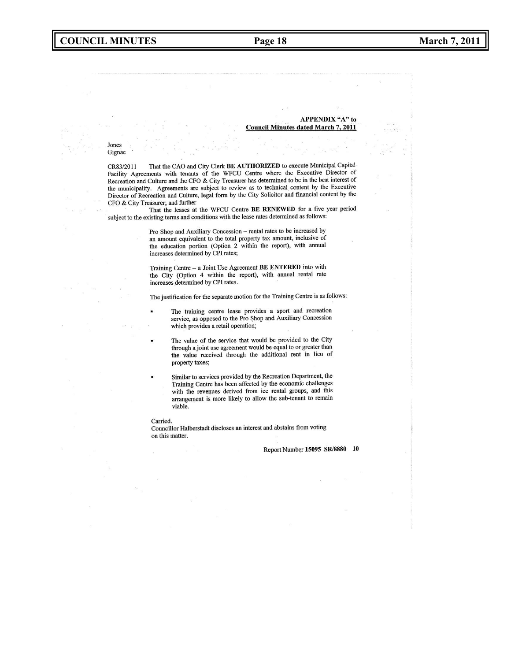#### **APPENDIX "A" to Council Minutes dated March 7, 2011**

#### Jones Gignac

That the CAO and City Clerk BE AUTHORIZED to execute Municipal Capital CR83/2011 Facility Agreements with tenants of the WFCU Centre where the Executive Director of Recreation and Culture and the CFO & City Treasurer has determined to be in the best interest of the municipality. Agreements are subject to review as to technical content by the Executive Director of Recreation and Culture, legal form by the City Solicitor and financial content by the CFO & City Treasurer; and further

That the leases at the WFCU Centre BE RENEWED for a five year period subject to the existing terms and conditions with the lease rates determined as follows:

> Pro Shop and Auxiliary Concession - rental rates to be increased by an amount equivalent to the total property tax amount, inclusive of the education portion (Option 2 within the report), with annual increases determined by CPI rates;

> Training Centre - a Joint Use Agreement BE ENTERED into with the City (Option 4 within the report), with annual rental rate increases determined by CPI rates.

The justification for the separate motion for the Training Centre is as follows:

- The training centre lease provides a sport and recreation service, as opposed to the Pro Shop and Auxiliary Concession which provides a retail operation;
- The value of the service that would be provided to the City through a joint use agreement would be equal to or greater than the value received through the additional rent in lieu of property taxes;
- Similar to services provided by the Recreation Department, the Training Centre has been affected by the economic challenges with the revenues derived from ice rental groups, and this arrangement is more likely to allow the sub-tenant to remain viable.

#### Carried.

Councillor Halberstadt discloses an interest and abstains from voting on this matter.

Report Number 15095 SR/8880 10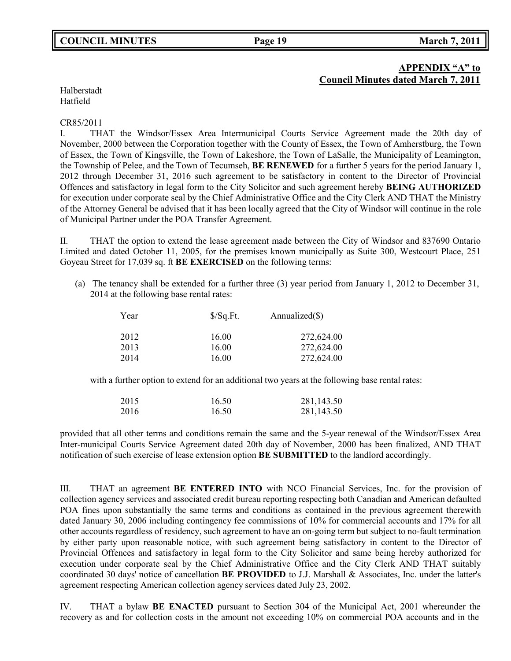# **APPENDIX "A" to**

**Council Minutes dated March 7, 2011**

Halberstadt Hatfield

#### CR85/2011

I. THAT the Windsor/Essex Area Intermunicipal Courts Service Agreement made the 20th day of November, 2000 between the Corporation together with the County of Essex, the Town of Amherstburg, the Town of Essex, the Town of Kingsville, the Town of Lakeshore, the Town of LaSalle, the Municipality of Leamington, the Township of Pelee, and the Town of Tecumseh, **BE RENEWED** for a further 5 years for the period January 1, 2012 through December 31, 2016 such agreement to be satisfactory in content to the Director of Provincial Offences and satisfactory in legal form to the City Solicitor and such agreement hereby **BEING AUTHORIZED** for execution under corporate seal by the Chief Administrative Office and the City Clerk AND THAT the Ministry of the Attorney General be advised that it has been locally agreed that the City of Windsor will continue in the role of Municipal Partner under the POA Transfer Agreement.

II. THAT the option to extend the lease agreement made between the City of Windsor and 837690 Ontario Limited and dated October 11, 2005, for the premises known municipally as Suite 300, Westcourt Place, 251 Goyeau Street for 17,039 sq. ft **BE EXERCISED** on the following terms:

(a) The tenancy shall be extended for a further three (3) year period from January 1, 2012 to December 31, 2014 at the following base rental rates:

| Year | $\sqrt{$}$ Sq.Ft. | Annualized $(\$)$ |
|------|-------------------|-------------------|
| 2012 | 16.00             | 272,624.00        |
| 2013 | 16.00             | 272,624.00        |
| 2014 | 16.00             | 272,624.00        |

with a further option to extend for an additional two years at the following base rental rates:

| 2015 | 16.50 | 281,143.50 |
|------|-------|------------|
| 2016 | 16.50 | 281,143.50 |

provided that all other terms and conditions remain the same and the 5-year renewal of the Windsor/Essex Area Inter-municipal Courts Service Agreement dated 20th day of November, 2000 has been finalized, AND THAT notification of such exercise of lease extension option **BE SUBMITTED** to the landlord accordingly.

III. THAT an agreement **BE ENTERED INTO** with NCO Financial Services, Inc. for the provision of collection agency services and associated credit bureau reporting respecting both Canadian and American defaulted POA fines upon substantially the same terms and conditions as contained in the previous agreement therewith dated January 30, 2006 including contingency fee commissions of 10% for commercial accounts and 17% for all other accounts regardless of residency, such agreement to have an on-going term but subject to no-fault termination by either party upon reasonable notice, with such agreement being satisfactory in content to the Director of Provincial Offences and satisfactory in legal form to the City Solicitor and same being hereby authorized for execution under corporate seal by the Chief Administrative Office and the City Clerk AND THAT suitably coordinated 30 days' notice of cancellation **BE PROVIDED** to J.J. Marshall & Associates, Inc. under the latter's agreement respecting American collection agency services dated July 23, 2002.

IV. THAT a bylaw **BE ENACTED** pursuant to Section 304 of the Municipal Act, 2001 whereunder the recovery as and for collection costs in the amount not exceeding 10% on commercial POA accounts and in the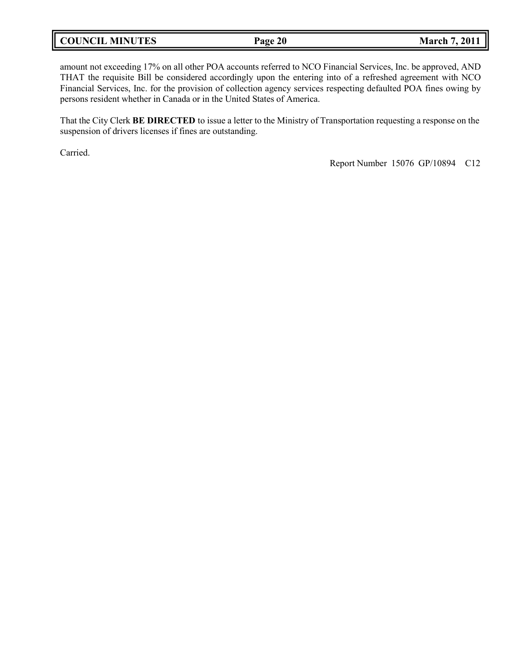| <b>COUNCIL MINUTES</b> | Page 20 | <b>March 7, 2011</b> |
|------------------------|---------|----------------------|
|------------------------|---------|----------------------|

amount not exceeding 17% on all other POA accounts referred to NCO Financial Services, Inc. be approved, AND THAT the requisite Bill be considered accordingly upon the entering into of a refreshed agreement with NCO Financial Services, Inc. for the provision of collection agency services respecting defaulted POA fines owing by persons resident whether in Canada or in the United States of America.

That the City Clerk **BE DIRECTED** to issue a letter to the Ministry of Transportation requesting a response on the suspension of drivers licenses if fines are outstanding.

Carried.

Report Number 15076 GP/10894 C12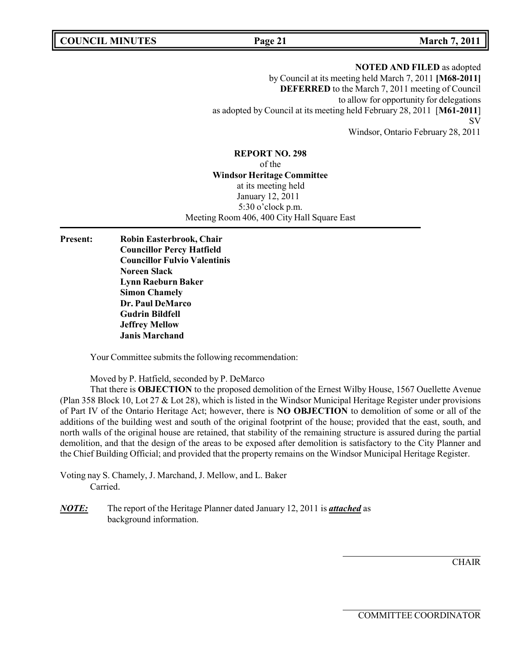**COUNCIL MINUTES Page 21 March 7, 2011**

**NOTED AND FILED** as adopted by Council at its meeting held March 7, 2011 **[M68-2011] DEFERRED** to the March 7, 2011 meeting of Council to allow for opportunity for delegations as adopted by Council at its meeting held February 28, 2011 [**M61-2011**] SV Windsor, Ontario February 28, 2011

**REPORT NO. 298** of the **Windsor Heritage Committee** at its meeting held January 12, 2011 5:30 o'clock p.m. Meeting Room 406, 400 City Hall Square East

**Present: Robin Easterbrook, Chair Councillor Percy Hatfield Councillor Fulvio Valentinis Noreen Slack Lynn Raeburn Baker Simon Chamely Dr. Paul DeMarco Gudrin Bildfell Jeffrey Mellow Janis Marchand**

Your Committee submits the following recommendation:

Moved by P. Hatfield, seconded by P. DeMarco

That there is **OBJECTION** to the proposed demolition of the Ernest Wilby House, 1567 Ouellette Avenue (Plan 358 Block 10, Lot 27 & Lot 28), which is listed in the Windsor Municipal Heritage Register under provisions of Part IV of the Ontario Heritage Act; however, there is **NO OBJECTION** to demolition of some or all of the additions of the building west and south of the original footprint of the house; provided that the east, south, and north walls of the original house are retained, that stability of the remaining structure is assured during the partial demolition, and that the design of the areas to be exposed after demolition is satisfactory to the City Planner and the Chief Building Official; and provided that the property remains on the Windsor Municipal Heritage Register.

Voting nay S. Chamely, J. Marchand, J. Mellow, and L. Baker Carried.

*NOTE:* The report of the Heritage Planner dated January 12, 2011 is *attached* as background information.

**CHAIR**